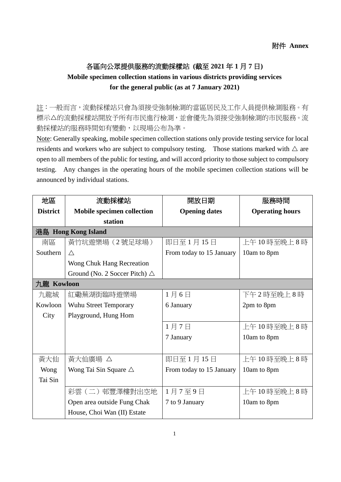## 各區向公眾提供服務的流動採樣站 **(**截至 **2021** 年 **1** 月 **7** 日**) Mobile specimen collection stations in various districts providing services for the general public (as at 7 January 2021)**

註:一般而言,流動採樣站只會為須接受強制檢測的當區居民及工作人員提供檢測服務。有 標示△的流動採樣站開放予所有市民進行檢測,並會優先為須接受強制檢測的市民服務。流 動採樣站的服務時間如有變動,以現場公布為準。

Note: Generally speaking, mobile specimen collection stations only provide testing service for local residents and workers who are subject to compulsory testing. Those stations marked with  $\triangle$  are open to all members of the public for testing, and will accord priority to those subject to compulsory testing. Any changes in the operating hours of the mobile specimen collection stations will be announced by individual stations.

| 地區                  | 流動採樣站                                   | 開放日期                     | 服務時間                   |  |
|---------------------|-----------------------------------------|--------------------------|------------------------|--|
| <b>District</b>     | <b>Mobile specimen collection</b>       | <b>Opening dates</b>     | <b>Operating hours</b> |  |
|                     | station                                 |                          |                        |  |
| 港島 Hong Kong Island |                                         |                          |                        |  |
| 南區                  | 黃竹坑遊樂場 (2號足球場)                          | 即日至1月15日                 | 上午10時至晚上8時             |  |
| Southern            | $\wedge$                                | From today to 15 January | 10am to 8pm            |  |
|                     | Wong Chuk Hang Recreation               |                          |                        |  |
|                     | Ground (No. 2 Soccer Pitch) $\triangle$ |                          |                        |  |
| 九龍 Kowloon          |                                         |                          |                        |  |
| 九龍城                 | 紅磡蕪湖街臨時遊樂場                              | 1月6日                     | 下午2時至晚上8時              |  |
| Kowloon             | Wuhu Street Temporary                   | 6 January                | 2pm to 8pm             |  |
| City                | Playground, Hung Hom                    |                          |                        |  |
|                     |                                         | 1月7日                     | 上午10時至晚上8時             |  |
|                     |                                         | 7 January                | 10am to 8pm            |  |
|                     |                                         |                          |                        |  |
| 黃大仙                 | 黃大仙廣場 △                                 | 即日至1月15日                 | 上午10時至晚上8時             |  |
| Wong                | Wong Tai Sin Square $\triangle$         | From today to 15 January | 10am to 8pm            |  |
| Tai Sin             |                                         |                          |                        |  |
|                     | 彩雲(二)邨豐澤樓對出空地                           | 1月7至9日                   | 上午10時至晚上8時             |  |
|                     | Open area outside Fung Chak             | 7 to 9 January           | 10am to 8pm            |  |
|                     | House, Choi Wan (II) Estate             |                          |                        |  |